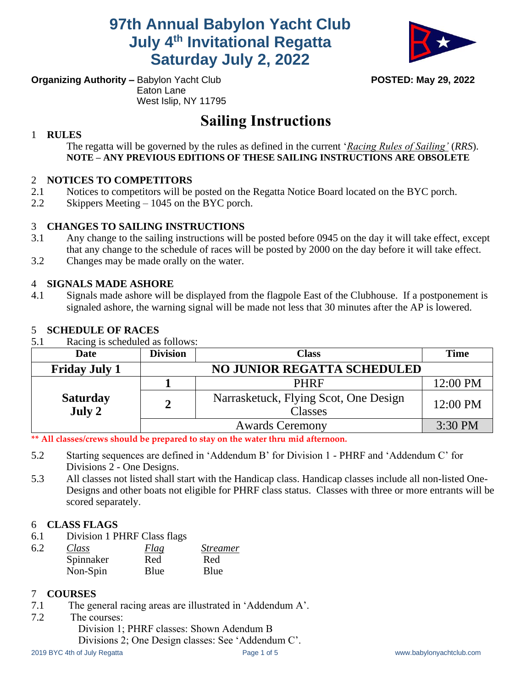**97th Annual Babylon Yacht Club July 4th Invitational Regatta Saturday July 2, 2022**



**Organizing Authority –** Babylon Yacht Club **POSTED: May 29, 2022** Eaton Lane West Islip, NY 11795

# **Sailing Instructions**

#### 1 **RULES**

The regatta will be governed by the rules as defined in the current '*Racing Rules of Sailing'* (*RRS*). **NOTE – ANY PREVIOUS EDITIONS OF THESE SAILING INSTRUCTIONS ARE OBSOLETE**

#### 2 **NOTICES TO COMPETITORS**

- 2.1 Notices to competitors will be posted on the Regatta Notice Board located on the BYC porch.
- 2.2 Skippers Meeting 1045 on the BYC porch.

#### 3 **CHANGES TO SAILING INSTRUCTIONS**

- 3.1 Any change to the sailing instructions will be posted before 0945 on the day it will take effect, except that any change to the schedule of races will be posted by 2000 on the day before it will take effect.
- 3.2 Changes may be made orally on the water.

#### 4 **SIGNALS MADE ASHORE**

4.1 Signals made ashore will be displayed from the flagpole East of the Clubhouse. If a postponement is signaled ashore, the warning signal will be made not less that 30 minutes after the AP is lowered.

#### 5 **SCHEDULE OF RACES**

5.1 Racing is scheduled as follows:

| <b>Date</b>               | <b>Division</b>                    | <b>Class</b>                                     | <b>Time</b> |
|---------------------------|------------------------------------|--------------------------------------------------|-------------|
| <b>Friday July 1</b>      | <b>NO JUNIOR REGATTA SCHEDULED</b> |                                                  |             |
|                           |                                    | <b>PHRF</b>                                      | 12:00 PM    |
| <b>Saturday</b><br>July 2 | 2                                  | Narrasketuck, Flying Scot, One Design<br>Classes | 12:00 PM    |
|                           |                                    | <b>Awards Ceremony</b>                           | 3:30 PM     |

**\*\* All classes/crews should be prepared to stay on the water thru mid afternoon.**

- 5.2 Starting sequences are defined in 'Addendum B' for Division 1 PHRF and 'Addendum C' for Divisions 2 - One Designs.
- 5.3 All classes not listed shall start with the Handicap class. Handicap classes include all non-listed One-Designs and other boats not eligible for PHRF class status. Classes with three or more entrants will be scored separately.

#### 6 **CLASS FLAGS**

6.1 Division 1 PHRF Class flags

| 6.2 | Class     | Flag | <i>Streamer</i> |
|-----|-----------|------|-----------------|
|     | Spinnaker | Red  | Red             |
|     | Non-Spin  | Blue | Blue            |

#### 7 **COURSES**

- 7.1 The general racing areas are illustrated in 'Addendum A'.
- 7.2 The courses: Division 1; PHRF classes: Shown Adendum B Divisions 2; One Design classes: See 'Addendum C'.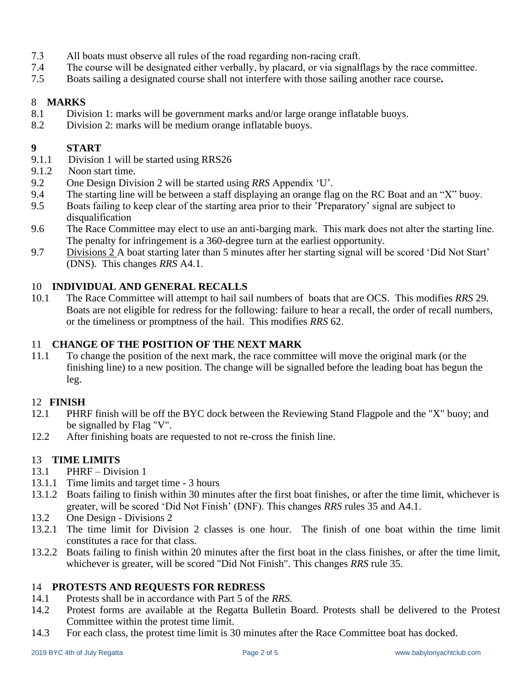- 7.3 All boats must observe all rules of the road regarding non-racing craft.
- 7.4 The course will be designated either verbally, by placard, or via signalflags by the race committee.
- 7.5 Boats sailing a designated course shall not interfere with those sailing another race course**.**

#### 8 **MARKS**

- 8.1 Division 1: marks will be government marks and/or large orange inflatable buoys.
- 8.2 Division 2: marks will be medium orange inflatable buoys.

#### **9 START**

- 9.1.1 Division 1 will be started using RRS26
- 9.1.2 Noon start time.
- 9.2 One Design Division 2 will be started using *RRS* Appendix 'U'.
- 9.4 The starting line will be between a staff displaying an orange flag on the RC Boat and an "X" buoy.
- 9.5 Boats failing to keep clear of the starting area prior to their 'Preparatory' signal are subject to disqualification
- 9.6 The Race Committee may elect to use an anti-barging mark. This mark does not alter the starting line. The penalty for infringement is a 360-degree turn at the earliest opportunity.
- 9.7 Divisions 2 A boat starting later than 5 minutes after her starting signal will be scored 'Did Not Start' (DNS). This changes *RRS* A4.1.

#### 10 **INDIVIDUAL AND GENERAL RECALLS**

10.1 The Race Committee will attempt to hail sail numbers of boats that are OCS. This modifies *RRS* 29. Boats are not eligible for redress for the following: failure to hear a recall, the order of recall numbers, or the timeliness or promptness of the hail. This modifies *RRS* 62.

#### 11 **CHANGE OF THE POSITION OF THE NEXT MARK**

11.1 To change the position of the next mark, the race committee will move the original mark (or the finishing line) to a new position. The change will be signalled before the leading boat has begun the leg.

#### 12 **FINISH**

- 12.1 PHRF finish will be off the BYC dock between the Reviewing Stand Flagpole and the "X" buoy; and be signalled by Flag "V".
- 12.2 After finishing boats are requested to not re-cross the finish line.

#### 13 **TIME LIMITS**

- 13.1 PHRF Division 1
- 13.1.1 Time limits and target time 3 hours
- 13.1.2 Boats failing to finish within 30 minutes after the first boat finishes, or after the time limit, whichever is greater, will be scored 'Did Not Finish' (DNF). This changes *RRS* rules 35 and A4.1.
- 13.2 One Design Divisions 2
- 13.2.1 The time limit for Division 2 classes is one hour. The finish of one boat within the time limit constitutes a race for that class.
- 13.2.2 Boats failing to finish within 20 minutes after the first boat in the class finishes, or after the time limit, whichever is greater, will be scored "Did Not Finish". This changes *RRS* rule 35.

#### 14 **PROTESTS AND REQUESTS FOR REDRESS**

- 14.1 Protests shall be in accordance with Part 5 of the *RRS*.
- 14.2 Protest forms are available at the Regatta Bulletin Board. Protests shall be delivered to the Protest Committee within the protest time limit.
- 14.3 For each class, the protest time limit is 30 minutes after the Race Committee boat has docked.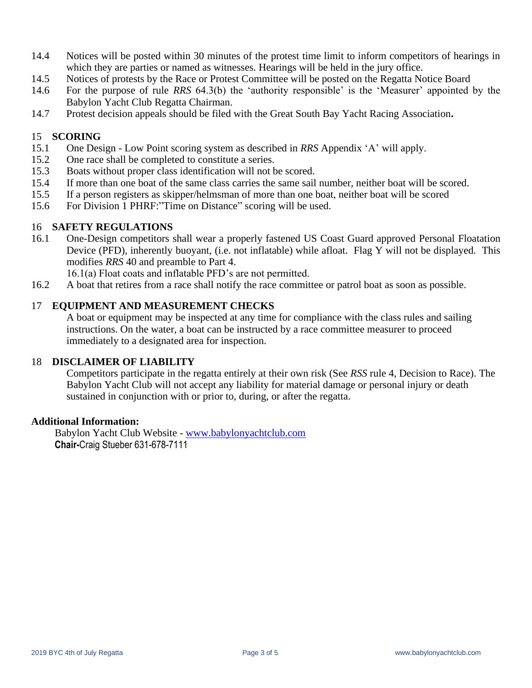- 14.4 Notices will be posted within 30 minutes of the protest time limit to inform competitors of hearings in which they are parties or named as witnesses. Hearings will be held in the jury office.
- 14.5 Notices of protests by the Race or Protest Committee will be posted on the Regatta Notice Board
- 14.6 For the purpose of rule *RRS* 64.3(b) the 'authority responsible' is the 'Measurer' appointed by the Babylon Yacht Club Regatta Chairman.
- 14.7 Protest decision appeals should be filed with the Great South Bay Yacht Racing Association**.**

#### 15 **SCORING**

- 15.1 One Design Low Point scoring system as described in *RRS* Appendix 'A' will apply.
- 15.2 One race shall be completed to constitute a series.
- 15.3 Boats without proper class identification will not be scored.
- 15.4 If more than one boat of the same class carries the same sail number, neither boat will be scored.
- 15.5 If a person registers as skipper/helmsman of more than one boat, neither boat will be scored
- 15.6 For Division 1 PHRF:"Time on Distance" scoring will be used.

#### 16 **SAFETY REGULATIONS**

- 16.1 One-Design competitors shall wear a properly fastened US Coast Guard approved Personal Floatation Device (PFD), inherently buoyant, (i.e. not inflatable) while afloat. Flag Y will not be displayed. This modifies *RRS* 40 and preamble to Part 4.
	- 16.1(a) Float coats and inflatable PFD's are not permitted.
- 16.2 A boat that retires from a race shall notify the race committee or patrol boat as soon as possible.

#### 17 **EQUIPMENT AND MEASUREMENT CHECKS**

A boat or equipment may be inspected at any time for compliance with the class rules and sailing instructions. On the water, a boat can be instructed by a race committee measurer to proceed immediately to a designated area for inspection.

#### 18 **DISCLAIMER OF LIABILITY**

Competitors participate in the regatta entirely at their own risk (See *RSS* rule 4, Decision to Race). The Babylon Yacht Club will not accept any liability for material damage or personal injury or death sustained in conjunction with or prior to, during, or after the regatta.

#### **Additional Information:**

Babylon Yacht Club Website - [www.babylonyachtclub.com](http://www.babylonyachtclub.com/) **Chair-**Craig Stueber 631-678-7111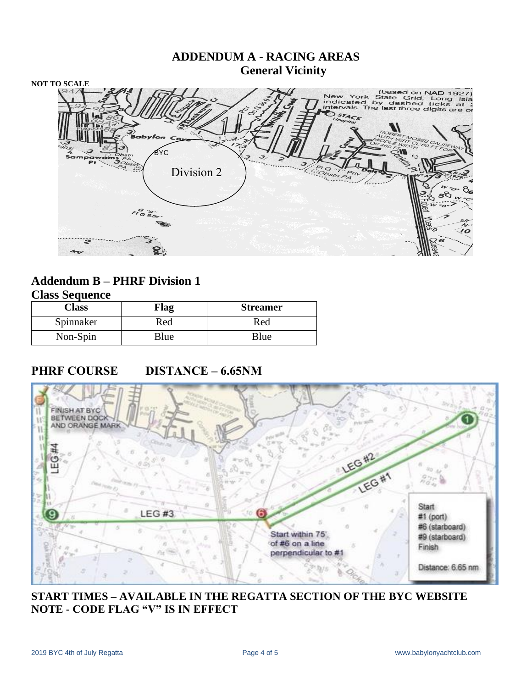

#### **Addendum B – PHRF Division 1 Class Sequence**

| Chapp Degaence |             |                 |  |  |
|----------------|-------------|-----------------|--|--|
| Class          | <b>Flag</b> | <b>Streamer</b> |  |  |
| Spinnaker      | Red         | Red             |  |  |
| Non-Spin       | Blue        | Blue            |  |  |

# **PHRF COURSE DISTANCE – 6.65NM**



## **START TIMES – AVAILABLE IN THE REGATTA SECTION OF THE BYC WEBSITE NOTE - CODE FLAG "V" IS IN EFFECT**